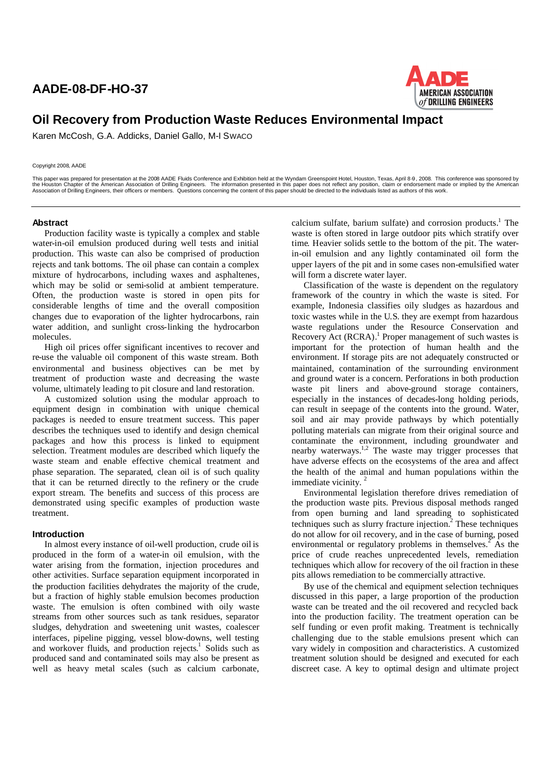## **AADE-08-DF-HO-37**



# **Oil Recovery from Production Waste Reduces Environmental Impact**

Karen McCosh, G.A. Addicks, Daniel Gallo, M-I SWACO

#### Copyright 2008, AADE

This paper was prepared for presentation at the 2008 AADE Fluids Conference and Exhibition held at the Wyndam Greenspoint Hotel, Houston, Texas, April 8 9, 2008. This conference was sponsored by<br>the Houston Chapter of the

#### **Abstract**

Production facility waste is typically a complex and stable water-in-oil emulsion produced during well tests and initial production. This waste can also be comprised of production rejects and tank bottoms. The oil phase can contain a complex mixture of hydrocarbons, including waxes and asphaltenes, which may be solid or semi-solid at ambient temperature. Often, the production waste is stored in open pits for considerable lengths of time and the overall composition changes due to evaporation of the lighter hydrocarbons, rain water addition, and sunlight cross-linking the hydrocarbon molecules.

High oil prices offer significant incentives to recover and re-use the valuable oil component of this waste stream. Both environmental and business objectives can be met by treatment of production waste and decreasing the waste volume, ultimately leading to pit closure and land restoration.

A customized solution using the modular approach to equipment design in combination with unique chemical packages is needed to ensure treatment success. This paper describes the techniques used to identify and design chemical packages and how this process is linked to equipment selection. Treatment modules are described which liquefy the waste steam and enable effective chemical treatment and phase separation. The separated, clean oil is of such quality that it can be returned directly to the refinery or the crude export stream. The benefits and success of this process are demonstrated using specific examples of production waste treatment.

#### **Introduction**

In almost every instance of oil-well production, crude oil is produced in the form of a water-in oil emulsion, with the water arising from the formation, injection procedures and other activities. Surface separation equipment incorporated in the production facilities dehydrates the majority of the crude, but a fraction of highly stable emulsion becomes production waste. The emulsion is often combined with oily waste streams from other sources such as tank residues, separator sludges, dehydration and sweetening unit wastes, coalescer interfaces, pipeline pigging, vessel blow-downs, well testing and workover fluids, and production rejects.<sup>1</sup> Solids such as produced sand and contaminated soils may also be present as well as heavy metal scales (such as calcium carbonate,

calcium sulfate, barium sulfate) and corrosion products.<sup>1</sup> The waste is often stored in large outdoor pits which stratify over time. Heavier solids settle to the bottom of the pit. The waterin-oil emulsion and any lightly contaminated oil form the upper layers of the pit and in some cases non-emulsified water will form a discrete water layer.

Classification of the waste is dependent on the regulatory framework of the country in which the waste is sited. For example, Indonesia classifies oily sludges as hazardous and toxic wastes while in the U.S. they are exempt from hazardous waste regulations under the Resource Conservation and Recovery Act (RCRA). <sup>1</sup> Proper management of such wastes is important for the protection of human health and the environment. If storage pits are not adequately constructed or maintained, contamination of the surrounding environment and ground water is a concern. Perforations in both production waste pit liners and above-ground storage containers, especially in the instances of decades-long holding periods, can result in seepage of the contents into the ground. Water, soil and air may provide pathways by which potentially polluting materials can migrate from their original source and contaminate the environment, including groundwater and nearby waterways.<sup>1,2</sup> The waste may trigger processes that have adverse effects on the ecosystems of the area and affect the health of the animal and human populations within the immediate vicinity.<sup>2</sup>

Environmental legislation therefore drives remediation of the production waste pits. Previous disposal methods ranged from open burning and land spreading to sophisticated techniques such as slurry fracture injection.<sup>2</sup> These techniques do not allow for oil recovery, and in the case of burning, posed environmental or regulatory problems in themselves. $\frac{2}{3}$  As the price of crude reaches unprecedented levels, remediation techniques which allow for recovery of the oil fraction in these pits allows remediation to be commercially attractive.

By use of the chemical and equipment selection techniques discussed in this paper, a large proportion of the production waste can be treated and the oil recovered and recycled back into the production facility. The treatment operation can be self funding or even profit making. Treatment is technically challenging due to the stable emulsions present which can vary widely in composition and characteristics. A customized treatment solution should be designed and executed for each discreet case. A key to optimal design and ultimate project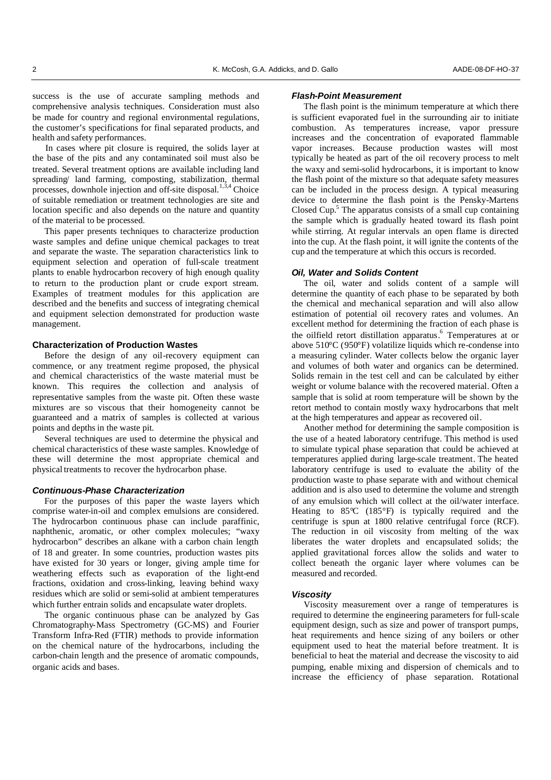success is the use of accurate sampling methods and comprehensive analysis techniques. Consideration must also be made for country and regional environmental regulations, the customer's specifications for final separated products, and health and safety performances.

In cases where pit closure is required, the solids layer at the base of the pits and any contaminated soil must also be treated. Several treatment options are available including land spreading/ land farming, composting, stabilization, thermal processes, downhole injection and off-site disposal.<sup>1,3,4</sup> Choice of suitable remediation or treatment technologies are site and location specific and also depends on the nature and quantity of the material to be processed.

This paper presents techniques to characterize production waste samples and define unique chemical packages to treat and separate the waste. The separation characteristics link to equipment selection and operation of full-scale treatment plants to enable hydrocarbon recovery of high enough quality to return to the production plant or crude export stream. Examples of treatment modules for this application are described and the benefits and success of integrating chemical and equipment selection demonstrated for production waste management.

### **Characterization of Production Wastes**

Before the design of any oil-recovery equipment can commence, or any treatment regime proposed, the physical and chemical characteristics of the waste material must be known. This requires the collection and analysis of representative samples from the waste pit. Often these waste mixtures are so viscous that their homogeneity cannot be guaranteed and a matrix of samples is collected at various points and depths in the waste pit.

Several techniques are used to determine the physical and chemical characteristics of these waste samples. Knowledge of these will determine the most appropriate chemical and physical treatments to recover the hydrocarbon phase.

## *Continuous-Phase Characterization*

For the purposes of this paper the waste layers which comprise water-in-oil and complex emulsions are considered. The hydrocarbon continuous phase can include paraffinic, naphthenic, aromatic, or other complex molecules; "waxy hydrocarbon" describes an alkane with a carbon chain length of 18 and greater. In some countries, production wastes pits have existed for 30 years or longer, giving ample time for weathering effects such as evaporation of the light-end fractions, oxidation and cross-linking, leaving behind waxy residues which are solid or semi-solid at ambient temperatures which further entrain solids and encapsulate water droplets.

The organic continuous phase can be analyzed by Gas Chromatography-Mass Spectrometry (GC-MS) and Fourier Transform Infra-Red (FTIR) methods to provide information on the chemical nature of the hydrocarbons, including the carbon-chain length and the presence of aromatic compounds, organic acids and bases.

## *Flash-Point Measurement*

The flash point is the minimum temperature at which there is sufficient evaporated fuel in the surrounding air to initiate combustion. As temperatures increase, vapor pressure increases and the concentration of evaporated flammable vapor increases. Because production wastes will most typically be heated as part of the oil recovery process to melt the waxy and semi-solid hydrocarbons, it is important to know the flash point of the mixture so that adequate safety measures can be included in the process design. A typical measuring device to determine the flash point is the Pensky-Martens Closed Cup.<sup>5</sup> The apparatus consists of a small cup containing the sample which is gradually heated toward its flash point while stirring. At regular intervals an open flame is directed into the cup. At the flash point, it will ignite the contents of the cup and the temperature at which this occurs is recorded.

#### *Oil, Water and Solids Content*

The oil, water and solids content of a sample will determine the quantity of each phase to be separated by both the chemical and mechanical separation and will also allow estimation of potential oil recovery rates and volumes. An excellent method for determining the fraction of each phase is the oilfield retort distillation apparatus. 6 Temperatures at or above 510°C (950°F) volatilize liquids which re-condense into a measuring cylinder. Water collects below the organic layer and volumes of both water and organics can be determined. Solids remain in the test cell and can be calculated by either weight or volume balance with the recovered material. Often a sample that is solid at room temperature will be shown by the retort method to contain mostly waxy hydrocarbons that melt at the high temperatures and appear as recovered oil.

Another method for determining the sample composition is the use of a heated laboratory centrifuge. This method is used to simulate typical phase separation that could be achieved at temperatures applied during large-scale treatment. The heated laboratory centrifuge is used to evaluate the ability of the production waste to phase separate with and without chemical addition and is also used to determine the volume and strength of any emulsion which will collect at the oil/water interface. Heating to 85°C (185°F) is typically required and the centrifuge is spun at 1800 relative centrifugal force (RCF). The reduction in oil viscosity from melting of the wax liberates the water droplets and encapsulated solids; the applied gravitational forces allow the solids and water to collect beneath the organic layer where volumes can be measured and recorded.

#### *Viscosity*

Viscosity measurement over a range of temperatures is required to determine the engineering parameters for full-scale equipment design, such as size and power of transport pumps, heat requirements and hence sizing of any boilers or other equipment used to heat the material before treatment. It is beneficial to heat the material and decrease the viscosity to aid pumping, enable mixing and dispersion of chemicals and to increase the efficiency of phase separation. Rotational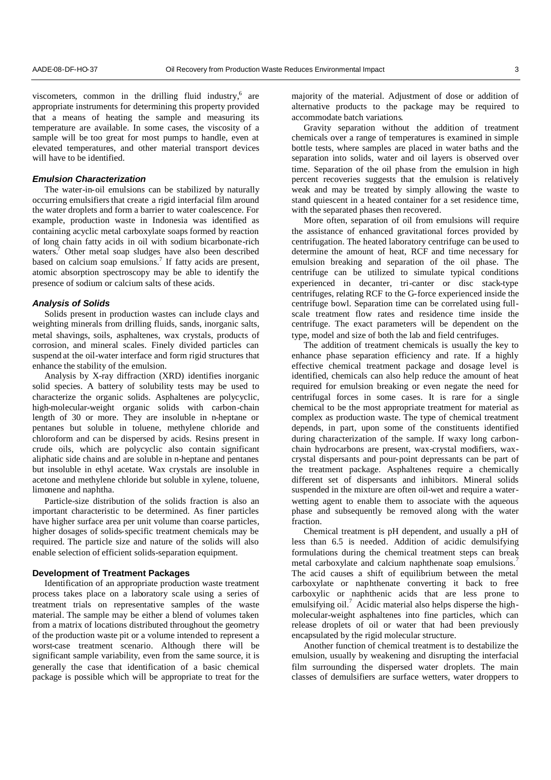viscometers, common in the drilling fluid industry,<sup>6</sup> are appropriate instruments for determining this property provided that a means of heating the sample and measuring its temperature are available. In some cases, the viscosity of a sample will be too great for most pumps to handle, even at elevated temperatures, and other material transport devices will have to be identified.

## *Emulsion Characterization*

The water-in-oil emulsions can be stabilized by naturally occurring emulsifiers that create a rigid interfacial film around the water droplets and form a barrier to water coalescence. For example, production waste in Indonesia was identified as containing acyclic metal carboxylate soaps formed by reaction of long chain fatty acids in oil with sodium bicarbonate-rich waters.<sup>7</sup> Other metal soap sludges have also been described based on calcium soap emulsions.<sup>7</sup> If fatty acids are present, atomic absorption spectroscopy may be able to identify the presence of sodium or calcium salts of these acids.

#### *Analysis of Solids*

Solids present in production wastes can include clays and weighting minerals from drilling fluids, sands, inorganic salts, metal shavings, soils, asphaltenes, wax crystals, products of corrosion, and mineral scales. Finely divided particles can suspend at the oil-water interface and form rigid structures that enhance the stability of the emulsion.

Analysis by X-ray diffraction (XRD) identifies inorganic solid species. A battery of solubility tests may be used to characterize the organic solids. Asphaltenes are polycyclic, high-molecular-weight organic solids with carbon-chain length of 30 or more. They are insoluble in n-heptane or pentanes but soluble in toluene, methylene chloride and chloroform and can be dispersed by acids. Resins present in crude oils, which are polycyclic also contain significant aliphatic side chains and are soluble in n-heptane and pentanes but insoluble in ethyl acetate. Wax crystals are insoluble in acetone and methylene chloride but soluble in xylene, toluene, limonene and naphtha.

Particle-size distribution of the solids fraction is also an important characteristic to be determined. As finer particles have higher surface area per unit volume than coarse particles, higher dosages of solids-specific treatment chemicals may be required. The particle size and nature of the solids will also enable selection of efficient solids-separation equipment.

## **Development of Treatment Packages**

Identification of an appropriate production waste treatment process takes place on a laboratory scale using a series of treatment trials on representative samples of the waste material. The sample may be either a blend of volumes taken from a matrix of locations distributed throughout the geometry of the production waste pit or a volume intended to represent a worst-case treatment scenario. Although there will be significant sample variability, even from the same source, it is generally the case that identification of a basic chemical package is possible which will be appropriate to treat for the

majority of the material. Adjustment of dose or addition of alternative products to the package may be required to accommodate batch variations.

Gravity separation without the addition of treatment chemicals over a range of temperatures is examined in simple bottle tests, where samples are placed in water baths and the separation into solids, water and oil layers is observed over time. Separation of the oil phase from the emulsion in high percent recoveries suggests that the emulsion is relatively weak and may be treated by simply allowing the waste to stand quiescent in a heated container for a set residence time, with the separated phases then recovered.

More often, separation of oil from emulsions will require the assistance of enhanced gravitational forces provided by centrifugation. The heated laboratory centrifuge can be used to determine the amount of heat, RCF and time necessary for emulsion breaking and separation of the oil phase. The centrifuge can be utilized to simulate typical conditions experienced in decanter, tri-canter or disc stack-type centrifuges, relating RCF to the G-force experienced inside the centrifuge bowl. Separation time can be correlated using fullscale treatment flow rates and residence time inside the centrifuge. The exact parameters will be dependent on the type, model and size of both the lab and field centrifuges.

The addition of treatment chemicals is usually the key to enhance phase separation efficiency and rate. If a highly effective chemical treatment package and dosage level is identified, chemicals can also help reduce the amount of heat required for emulsion breaking or even negate the need for centrifugal forces in some cases. It is rare for a single chemical to be the most appropriate treatment for material as complex as production waste. The type of chemical treatment depends, in part, upon some of the constituents identified during characterization of the sample. If waxy long carbonchain hydrocarbons are present, wax-crystal modifiers, waxcrystal dispersants and pour-point depressants can be part of the treatment package. Asphaltenes require a chemically different set of dispersants and inhibitors. Mineral solids suspended in the mixture are often oil-wet and require a waterwetting agent to enable them to associate with the aqueous phase and subsequently be removed along with the water fraction.

Chemical treatment is pH dependent, and usually a pH of less than 6.5 is needed. Addition of acidic demulsifying formulations during the chemical treatment steps can break metal carboxylate and calcium naphthenate soap emulsions.<sup>7</sup> The acid causes a shift of equilibrium between the metal carboxylate or naphthenate converting it back to free carboxylic or naphthenic acids that are less prone to emulsifying oil.<sup>7</sup> Acidic material also helps disperse the highmolecular-weight asphaltenes into fine particles, which can release droplets of oil or water that had been previously encapsulated by the rigid molecular structure.

Another function of chemical treatment is to destabilize the emulsion, usually by weakening and disrupting the interfacial film surrounding the dispersed water droplets. The main classes of demulsifiers are surface wetters, water droppers to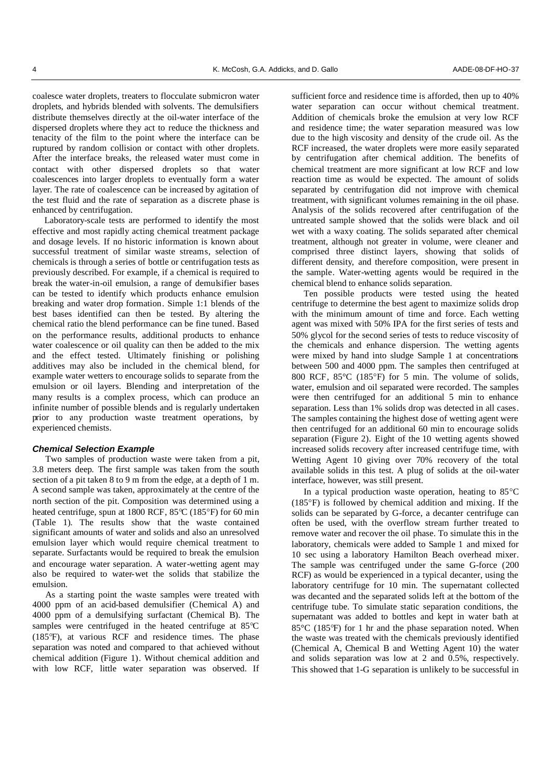coalesce water droplets, treaters to flocculate submicron water droplets, and hybrids blended with solvents. The demulsifiers distribute themselves directly at the oil-water interface of the dispersed droplets where they act to reduce the thickness and tenacity of the film to the point where the interface can be ruptured by random collision or contact with other droplets. After the interface breaks, the released water must come in contact with other dispersed droplets so that water coalescences into larger droplets to eventually form a water layer. The rate of coalescence can be increased by agitation of the test fluid and the rate of separation as a discrete phase is enhanced by centrifugation.

Laboratory-scale tests are performed to identify the most effective and most rapidly acting chemical treatment package and dosage levels. If no historic information is known about successful treatment of similar waste streams, selection of chemicals is through a series of bottle or centrifugation tests as previously described. For example, if a chemical is required to break the water-in-oil emulsion, a range of demulsifier bases can be tested to identify which products enhance emulsion breaking and water drop formation. Simple 1:1 blends of the best bases identified can then be tested. By altering the chemical ratio the blend performance can be fine tuned. Based on the performance results, additional products to enhance water coalescence or oil quality can then be added to the mix and the effect tested. Ultimately finishing or polishing additives may also be included in the chemical blend, for example water wetters to encourage solids to separate from the emulsion or oil layers. Blending and interpretation of the many results is a complex process, which can produce an infinite number of possible blends and is regularly undertaken prior to any production waste treatment operations, by experienced chemists.

### *Chemical Selection Example*

Two samples of production waste were taken from a pit, 3.8 meters deep. The first sample was taken from the south section of a pit taken 8 to 9 m from the edge, at a depth of 1 m. A second sample was taken, approximately at the centre of the north section of the pit. Composition was determined using a heated centrifuge, spun at 1800 RCF,  $85^{\circ}$ C (185°F) for 60 min (Table 1). The results show that the waste contained significant amounts of water and solids and also an unresolved emulsion layer which would require chemical treatment to separate. Surfactants would be required to break the emulsion and encourage water separation. A water-wetting agent may also be required to water-wet the solids that stabilize the emulsion.

As a starting point the waste samples were treated with 4000 ppm of an acid-based demulsifier (Chemical A) and 4000 ppm of a demulsifying surfactant (Chemical B). The samples were centrifuged in the heated centrifuge at  $85^{\circ}$ C (185F), at various RCF and residence times. The phase separation was noted and compared to that achieved without chemical addition (Figure 1). Without chemical addition and with low RCF, little water separation was observed. If

sufficient force and residence time is afforded, then up to 40% water separation can occur without chemical treatment. Addition of chemicals broke the emulsion at very low RCF and residence time; the water separation measured was low due to the high viscosity and density of the crude oil. As the RCF increased, the water droplets were more easily separated by centrifugation after chemical addition. The benefits of chemical treatment are more significant at low RCF and low reaction time as would be expected. The amount of solids separated by centrifugation did not improve with chemical treatment, with significant volumes remaining in the oil phase. Analysis of the solids recovered after centrifugation of the untreated sample showed that the solids were black and oil wet with a waxy coating. The solids separated after chemical treatment, although not greater in volume, were cleaner and comprised three distinct layers, showing that solids of different density, and therefore composition, were present in the sample. Water-wetting agents would be required in the chemical blend to enhance solids separation.

Ten possible products were tested using the heated centrifuge to determine the best agent to maximize solids drop with the minimum amount of time and force. Each wetting agent was mixed with 50% IPA for the first series of tests and 50% glycol for the second series of tests to reduce viscosity of the chemicals and enhance dispersion. The wetting agents were mixed by hand into sludge Sample 1 at concentrations between 500 and 4000 ppm. The samples then centrifuged at 800 RCF,  $85^{\circ}$ C (185 $^{\circ}$ F) for 5 min. The volume of solids, water, emulsion and oil separated were recorded. The samples were then centrifuged for an additional 5 min to enhance separation. Less than 1% solids drop was detected in all cases. The samples containing the highest dose of wetting agent were then centrifuged for an additional 60 min to encourage solids separation (Figure 2). Eight of the 10 wetting agents showed increased solids recovery after increased centrifuge time, with Wetting Agent 10 giving over 70% recovery of the total available solids in this test. A plug of solids at the oil-water interface, however, was still present.

In a typical production waste operation, heating to  $85^{\circ}$ C  $(185^{\circ}F)$  is followed by chemical addition and mixing. If the solids can be separated by G-force, a decanter centrifuge can often be used, with the overflow stream further treated to remove water and recover the oil phase. To simulate this in the laboratory, chemicals were added to Sample 1 and mixed for 10 sec using a laboratory Hamilton Beach overhead mixer. The sample was centrifuged under the same G-force (200 RCF) as would be experienced in a typical decanter, using the laboratory centrifuge for 10 min. The supernatant collected was decanted and the separated solids left at the bottom of the centrifuge tube. To simulate static separation conditions, the supernatant was added to bottles and kept in water bath at 85°C (185F) for 1 hr and the phase separation noted. When the waste was treated with the chemicals previously identified (Chemical A, Chemical B and Wetting Agent 10) the water and solids separation was low at 2 and 0.5%, respectively. This showed that 1-G separation is unlikely to be successful in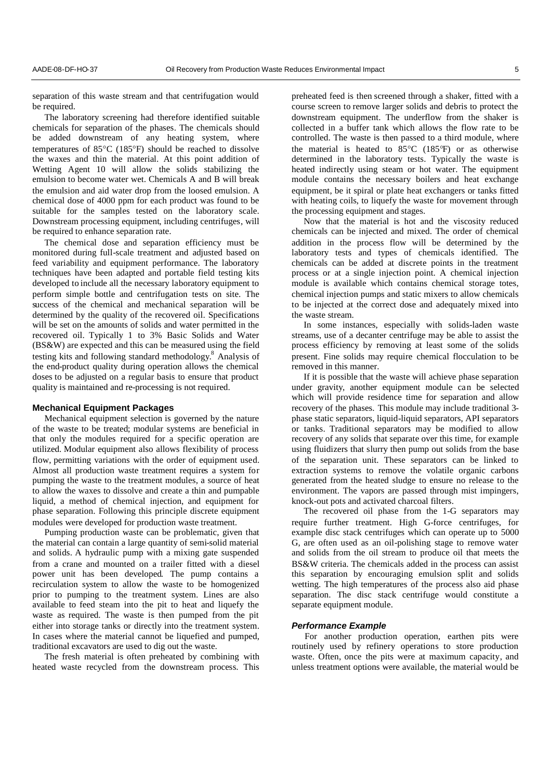separation of this waste stream and that centrifugation would be required.

The laboratory screening had therefore identified suitable chemicals for separation of the phases. The chemicals should be added downstream of any heating system, where temperatures of 85°C (185°F) should be reached to dissolve the waxes and thin the material. At this point addition of Wetting Agent 10 will allow the solids stabilizing the emulsion to become water wet. Chemicals A and B will break the emulsion and aid water drop from the loosed emulsion. A chemical dose of 4000 ppm for each product was found to be suitable for the samples tested on the laboratory scale. Downstream processing equipment, including centrifuges, will be required to enhance separation rate.

The chemical dose and separation efficiency must be monitored during full-scale treatment and adjusted based on feed variability and equipment performance. The laboratory techniques have been adapted and portable field testing kits developed to include all the necessary laboratory equipment to perform simple bottle and centrifugation tests on site. The success of the chemical and mechanical separation will be determined by the quality of the recovered oil. Specifications will be set on the amounts of solids and water permitted in the recovered oil. Typically 1 to 3% Basic Solids and Water (BS&W) are expected and this can be measured using the field testing kits and following standard methodology. <sup>8</sup> Analysis of the end-product quality during operation allows the chemical doses to be adjusted on a regular basis to ensure that product quality is maintained and re-processing is not required.

#### **Mechanical Equipment Packages**

Mechanical equipment selection is governed by the nature of the waste to be treated; modular systems are beneficial in that only the modules required for a specific operation are utilized. Modular equipment also allows flexibility of process flow, permitting variations with the order of equipment used. Almost all production waste treatment requires a system for pumping the waste to the treatment modules, a source of heat to allow the waxes to dissolve and create a thin and pumpable liquid, a method of chemical injection, and equipment for phase separation. Following this principle discrete equipment modules were developed for production waste treatment.

Pumping production waste can be problematic, given that the material can contain a large quantity of semi-solid material and solids. A hydraulic pump with a mixing gate suspended from a crane and mounted on a trailer fitted with a diesel power unit has been developed. The pump contains a recirculation system to allow the waste to be homogenized prior to pumping to the treatment system. Lines are also available to feed steam into the pit to heat and liquefy the waste as required. The waste is then pumped from the pit either into storage tanks or directly into the treatment system. In cases where the material cannot be liquefied and pumped, traditional excavators are used to dig out the waste.

The fresh material is often preheated by combining with heated waste recycled from the downstream process. This preheated feed is then screened through a shaker, fitted with a course screen to remove larger solids and debris to protect the downstream equipment. The underflow from the shaker is collected in a buffer tank which allows the flow rate to be controlled. The waste is then passed to a third module, where the material is heated to  $85^{\circ}$ C (185°F) or as otherwise determined in the laboratory tests. Typically the waste is heated indirectly using steam or hot water. The equipment module contains the necessary boilers and heat exchange equipment, be it spiral or plate heat exchangers or tanks fitted with heating coils, to liquefy the waste for movement through the processing equipment and stages.

Now that the material is hot and the viscosity reduced chemicals can be injected and mixed. The order of chemical addition in the process flow will be determined by the laboratory tests and types of chemicals identified. The chemicals can be added at discrete points in the treatment process or at a single injection point. A chemical injection module is available which contains chemical storage totes, chemical injection pumps and static mixers to allow chemicals to be injected at the correct dose and adequately mixed into the waste stream.

In some instances, especially with solids-laden waste streams, use of a decanter centrifuge may be able to assist the process efficiency by removing at least some of the solids present. Fine solids may require chemical flocculation to be removed in this manner.

If it is possible that the waste will achieve phase separation under gravity, another equipment module can be selected which will provide residence time for separation and allow recovery of the phases. This module may include traditional 3 phase static separators, liquid-liquid separators, API separators or tanks. Traditional separators may be modified to allow recovery of any solids that separate over this time, for example using fluidizers that slurry then pump out solids from the base of the separation unit. These separators can be linked to extraction systems to remove the volatile organic carbons generated from the heated sludge to ensure no release to the environment. The vapors are passed through mist impingers, knock-out pots and activated charcoal filters.

The recovered oil phase from the 1-G separators may require further treatment. High G-force centrifuges, for example disc stack centrifuges which can operate up to 5000 G, are often used as an oil-polishing stage to remove water and solids from the oil stream to produce oil that meets the BS&W criteria. The chemicals added in the process can assist this separation by encouraging emulsion split and solids wetting. The high temperatures of the process also aid phase separation. The disc stack centrifuge would constitute a separate equipment module.

### *Performance Example*

For another production operation, earthen pits were routinely used by refinery operations to store production waste. Often, once the pits were at maximum capacity, and unless treatment options were available, the material would be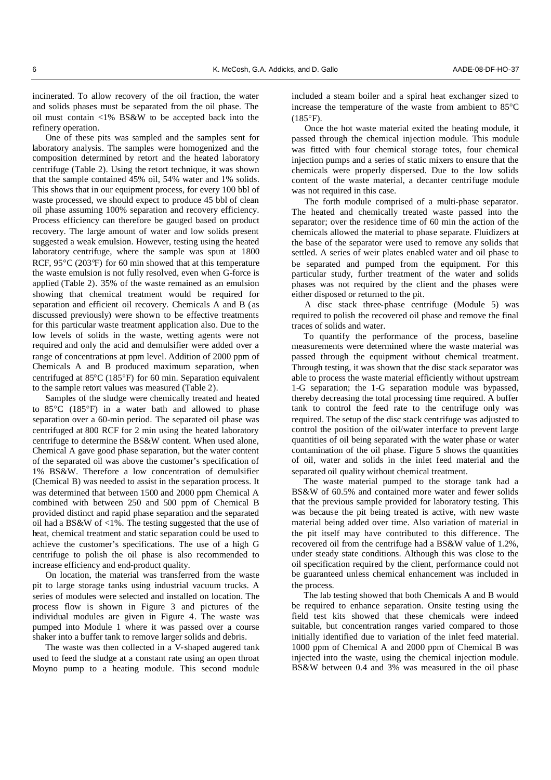incinerated. To allow recovery of the oil fraction, the water and solids phases must be separated from the oil phase. The oil must contain <1% BS&W to be accepted back into the refinery operation.

One of these pits was sampled and the samples sent for laboratory analysis. The samples were homogenized and the composition determined by retort and the heated laboratory centrifuge (Table 2). Using the retort technique, it was shown that the sample contained 45% oil, 54% water and 1% solids. This shows that in our equipment process, for every 100 bbl of waste processed, we should expect to produce 45 bbl of clean oil phase assuming 100% separation and recovery efficiency. Process efficiency can therefore be gauged based on product recovery. The large amount of water and low solids present suggested a weak emulsion. However, testing using the heated laboratory centrifuge, where the sample was spun at 1800 RCF,  $95^{\circ}$ C (203 $^{\circ}$ F) for 60 min showed that at this temperature the waste emulsion is not fully resolved, even when G-force is applied (Table 2). 35% of the waste remained as an emulsion showing that chemical treatment would be required for separation and efficient oil recovery. Chemicals A and B (as discussed previously) were shown to be effective treatments for this particular waste treatment application also. Due to the low levels of solids in the waste, wetting agents were not required and only the acid and demulsifier were added over a range of concentrations at ppm level. Addition of 2000 ppm of Chemicals A and B produced maximum separation, when centrifuged at  $85^{\circ}$ C (185 $^{\circ}$ F) for 60 min. Separation equivalent to the sample retort values was measured (Table 2).

Samples of the sludge were chemically treated and heated to 85°C (185°F) in a water bath and allowed to phase separation over a 60-min period. The separated oil phase was centrifuged at 800 RCF for 2 min using the heated laboratory centrifuge to determine the BS&W content. When used alone, Chemical A gave good phase separation, but the water content of the separated oil was above the customer's specification of 1% BS&W. Therefore a low concentration of demulsifier (Chemical B) was needed to assist in the separation process. It was determined that between 1500 and 2000 ppm Chemical A combined with between 250 and 500 ppm of Chemical B provided distinct and rapid phase separation and the separated oil had a BS&W of <1%. The testing suggested that the use of heat, chemical treatment and static separation could be used to achieve the customer's specifications. The use of a high G centrifuge to polish the oil phase is also recommended to increase efficiency and end-product quality.

On location, the material was transferred from the waste pit to large storage tanks using industrial vacuum trucks. A series of modules were selected and installed on location. The process flow is shown in Figure 3 and pictures of the individual modules are given in Figure 4. The waste was pumped into Module 1 where it was passed over a course shaker into a buffer tank to remove larger solids and debris.

The waste was then collected in a V-shaped augered tank used to feed the sludge at a constant rate using an open throat Moyno pump to a heating module. This second module

included a steam boiler and a spiral heat exchanger sized to increase the temperature of the waste from ambient to  $85^{\circ}$ C  $(185°F)$ .

Once the hot waste material exited the heating module, it passed through the chemical injection module. This module was fitted with four chemical storage totes, four chemical injection pumps and a series of static mixers to ensure that the chemicals were properly dispersed. Due to the low solids content of the waste material, a decanter centrifuge module was not required in this case.

The forth module comprised of a multi-phase separator. The heated and chemically treated waste passed into the separator; over the residence time of 60 min the action of the chemicals allowed the material to phase separate. Fluidizers at the base of the separator were used to remove any solids that settled. A series of weir plates enabled water and oil phase to be separated and pumped from the equipment. For this particular study, further treatment of the water and solids phases was not required by the client and the phases were either disposed or returned to the pit.

A disc stack three-phase centrifuge (Module 5) was required to polish the recovered oil phase and remove the final traces of solids and water.

To quantify the performance of the process, baseline measurements were determined where the waste material was passed through the equipment without chemical treatment. Through testing, it was shown that the disc stack separator was able to process the waste material efficiently without upstream 1-G separation; the 1-G separation module was bypassed, thereby decreasing the total processing time required. A buffer tank to control the feed rate to the centrifuge only was required. The setup of the disc stack centrifuge was adjusted to control the position of the oil/water interface to prevent large quantities of oil being separated with the water phase or water contamination of the oil phase. Figure 5 shows the quantities of oil, water and solids in the inlet feed material and the separated oil quality without chemical treatment.

The waste material pumped to the storage tank had a BS&W of 60.5% and contained more water and fewer solids that the previous sample provided for laboratory testing. This was because the pit being treated is active, with new waste material being added over time. Also variation of material in the pit itself may have contributed to this difference. The recovered oil from the centrifuge had a BS&W value of 1.2%, under steady state conditions. Although this was close to the oil specification required by the client, performance could not be guaranteed unless chemical enhancement was included in the process.

The lab testing showed that both Chemicals A and B would be required to enhance separation. Onsite testing using the field test kits showed that these chemicals were indeed suitable, but concentration ranges varied compared to those initially identified due to variation of the inlet feed material. 1000 ppm of Chemical A and 2000 ppm of Chemical B was injected into the waste, using the chemical injection module. BS&W between 0.4 and 3% was measured in the oil phase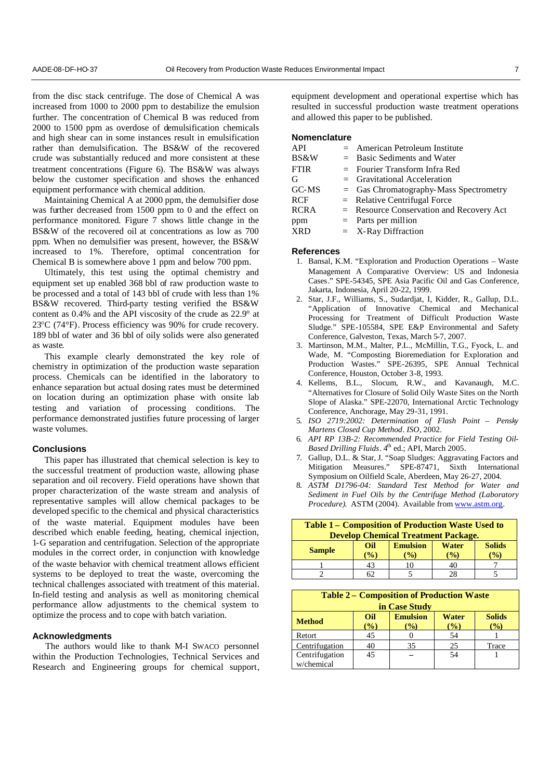from the disc stack centrifuge. The dose of Chemical A was increased from 1000 to 2000 ppm to destabilize the emulsion further. The concentration of Chemical B was reduced from 2000 to 1500 ppm as overdose of demulsification chemicals and high shear can in some instances result in emulsification rather than demulsification. The BS&W of the recovered crude was substantially reduced and more consistent at these treatment concentrations (Figure 6). The BS&W was always below the customer specification and shows the enhanced equipment performance with chemical addition.

Maintaining Chemical A at 2000 ppm, the demulsifier dose was further decreased from 1500 ppm to 0 and the effect on performance monitored. Figure 7 shows little change in the BS&W of the recovered oil at concentrations as low as 700 ppm. When no demulsifier was present, however, the BS&W increased to 1%. Therefore, optimal concentration for Chemical B is somewhere above 1 ppm and below 700 ppm.

Ultimately, this test using the optimal chemistry and equipment set up enabled 368 bbl of raw production waste to be processed and a total of 143 bbl of crude with less than 1% BS&W recovered. Third-party testing verified the BS&W content as 0.4% and the API viscosity of the crude as 22.9° at 23C (74°F). Process efficiency was 90% for crude recovery. 189 bbl of water and 36 bbl of oily solids were also generated as waste.

This example clearly demonstrated the key role of chemistry in optimization of the production waste separation process. Chemicals can be identified in the laboratory to enhance separation but actual dosing rates must be determined on location during an optimization phase with onsite lab testing and variation of processing conditions. The performance demonstrated justifies future processing of larger waste volumes.

#### **Conclusions**

This paper has illustrated that chemical selection is key to the successful treatment of production waste, allowing phase separation and oil recovery. Field operations have shown that proper characterization of the waste stream and analysis of representative samples will allow chemical packages to be developed specific to the chemical and physical characteristics of the waste material. Equipment modules have been described which enable feeding, heating, chemical injection, 1-G separation and centrifugation. Selection of the appropriate modules in the correct order, in conjunction with knowledge of the waste behavior with chemical treatment allows efficient systems to be deployed to treat the waste, overcoming the technical challenges associated with treatment of this material. In-field testing and analysis as well as monitoring chemical performance allow adjustments to the chemical system to optimize the process and to cope with batch variation.

#### **Acknowledgments**

The authors would like to thank M-I SWACO personnel within the Production Technologies, Technical Services and Research and Engineering groups for chemical support, equipment development and operational expertise which has resulted in successful production waste treatment operations and allowed this paper to be published.

## **Nomenclature**

| API         | $=$ American Petroleum Institute         |
|-------------|------------------------------------------|
| BS&W        | $=$ Basic Sediments and Water            |
| <b>FTIR</b> | $=$ Fourier Transform Infra Red          |
| G           | $=$ Gravitational Acceleration           |
| GC-MS       | $=$ Gas Chromatography-Mass Spectrometry |
| <b>RCF</b>  | $=$ Relative Centrifugal Force           |
| <b>RCRA</b> | = Resource Conservation and Recovery Act |
| ppm         | $=$ Parts per million                    |
| <b>XRD</b>  | $=$ X-Ray Diffraction                    |

## **References**

- 1. Bansal, K.M. "Exploration and Production Operations Waste Management A Comparative Overview: US and Indonesia Cases." SPE-54345, SPE Asia Pacific Oil and Gas Conference, Jakarta, Indonesia, April 20-22, 1999.
- 2. Star, J.F., Williams, S., Sudardjat, I, Kidder, R., Gallup, D.L. "Application of Innovative Chemical and Mechanical Processing for Treatment of Difficult Production Waste Sludge." SPE-105584, SPE E&P Environmental and Safety Conference, Galveston, Texas, March 5-7, 2007.
- 3. Martinson, M.M., Malter, P.L., McMillin, T.G., Fyock, L. and Wade, M. "Composting Bioremediation for Exploration and Production Wastes." SPE-26395, SPE Annual Technical Conference, Houston, October 3-8, 1993.
- 4. Kellems, B.L*.,* Slocum, R.W., and Kavanaugh, M.C. "Alternatives for Closure of Solid Oily Waste Sites on the North Slope of Alaska." SPE-22070, International Arctic Technology Conference, Anchorage, May 29-31, 1991.
- 5. *ISO 2719:2002: Determination of Flash Point – Pensky Martens Closed Cup Method. ISO*, 2002.
- 6. *API RP 13B-2: Recommended Practice for Field Testing Oil-Based Drilling Fluids*. 4<sup>th</sup> ed.; API, March 2005.
- 7. Gallup, D.L. & Star, J. "Soap Sludges: Aggravating Factors and Mitigation Measures." SPE-87471, Sixth International Symposium on Oilfield Scale, Aberdeen, May 26-27, 2004.
- 8. *ASTM D1796-04: Standard Test Method for Water and Sediment in Fuel Oils by the Centrifuge Method (Laboratory Procedure).* ASTM (2004). Available from www.astm.org.

| <b>Table 1 – Composition of Production Waste Used to</b> |                 |                 |              |               |  |  |
|----------------------------------------------------------|-----------------|-----------------|--------------|---------------|--|--|
| <b>Develop Chemical Treatment Package.</b>               |                 |                 |              |               |  |  |
| <b>Sample</b>                                            | Oil             | <b>Emulsion</b> | <b>Water</b> | <b>Solids</b> |  |  |
|                                                          | $\mathcal{O}_0$ | $\%$            | $\%$         | $\frac{1}{2}$ |  |  |
|                                                          | 43              |                 |              |               |  |  |
|                                                          |                 |                 |              |               |  |  |

#### **Table 2 – Composition of Production Waste**

| in Case Study                |                        |                         |                         |                                  |  |  |  |
|------------------------------|------------------------|-------------------------|-------------------------|----------------------------------|--|--|--|
| <b>Method</b>                | Oil<br>$\mathcal{O}_0$ | <b>Emulsion</b><br>$\%$ | Water<br>$\binom{0}{0}$ | <b>Solids</b><br>$\mathcal{O}_0$ |  |  |  |
| Retort                       | 45                     |                         | 54                      |                                  |  |  |  |
| Centrifugation               | 40                     | 35                      | 25                      | Trace                            |  |  |  |
| Centrifugation<br>w/chemical | 45                     |                         | 54                      |                                  |  |  |  |